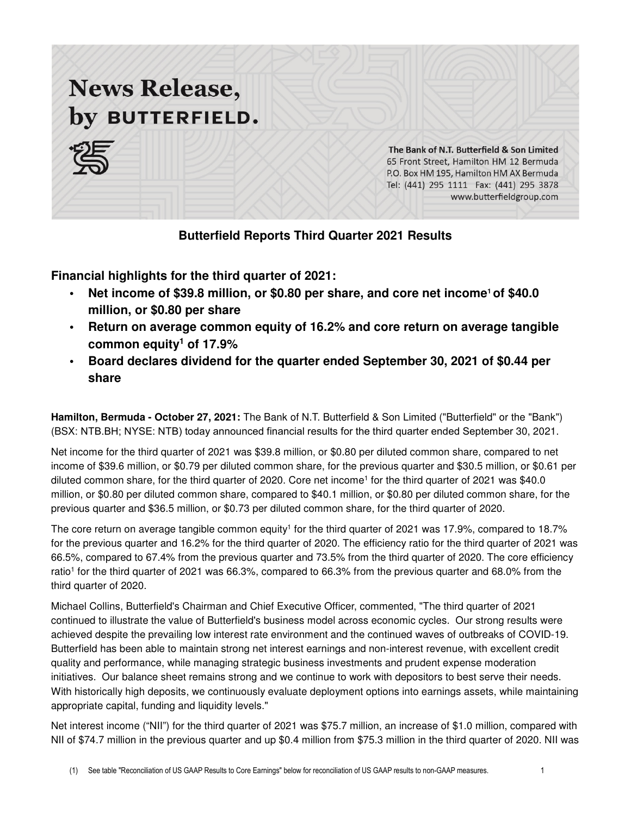# **News Release,** by BUTTERFIELD.



The Bank of N.T. Butterfield & Son Limited 65 Front Street, Hamilton HM 12 Bermuda P.O. Box HM 195, Hamilton HM AX Bermuda Tel: (441) 295 1111 Fax: (441) 295 3878 www.butterfieldgroup.com

**Butterfield Reports Third Quarter 2021 Results** 

**Financial highlights for the third quarter of 2021:**

- **Net income of \$39.8 million, or \$0.80 per share, and core net income<sup>1</sup> of \$40.0 million, or \$0.80 per share**
- **Return on average common equity of 16.2% and core return on average tangible common equity<sup>1</sup> of 17.9%**
- **Board declares dividend for the quarter ended September 30, 2021 of \$0.44 per share**

**Hamilton, Bermuda - October 27, 2021:** The Bank of N.T. Butterfield & Son Limited ("Butterfield" or the "Bank") (BSX: NTB.BH; NYSE: NTB) today announced financial results for the third quarter ended September 30, 2021.

Net income for the third quarter of 2021 was \$39.8 million, or \$0.80 per diluted common share, compared to net income of \$39.6 million, or \$0.79 per diluted common share, for the previous quarter and \$30.5 million, or \$0.61 per diluted common share, for the third quarter of 2020. Core net income<sup>1</sup> for the third quarter of 2021 was \$40.0 million, or \$0.80 per diluted common share, compared to \$40.1 million, or \$0.80 per diluted common share, for the previous quarter and \$36.5 million, or \$0.73 per diluted common share, for the third quarter of 2020.

The core return on average tangible common equity<sup>1</sup> for the third quarter of 2021 was 17.9%, compared to 18.7% for the previous quarter and 16.2% for the third quarter of 2020. The efficiency ratio for the third quarter of 2021 was 66.5%, compared to 67.4% from the previous quarter and 73.5% from the third quarter of 2020. The core efficiency ratio<sup>1</sup> for the third quarter of 2021 was 66.3%, compared to 66.3% from the previous quarter and 68.0% from the third quarter of 2020.

Michael Collins, Butterfield's Chairman and Chief Executive Officer, commented, "The third quarter of 2021 continued to illustrate the value of Butterfield's business model across economic cycles. Our strong results were achieved despite the prevailing low interest rate environment and the continued waves of outbreaks of COVID-19. Butterfield has been able to maintain strong net interest earnings and non-interest revenue, with excellent credit quality and performance, while managing strategic business investments and prudent expense moderation initiatives. Our balance sheet remains strong and we continue to work with depositors to best serve their needs. With historically high deposits, we continuously evaluate deployment options into earnings assets, while maintaining appropriate capital, funding and liquidity levels."

Net interest income ("NII") for the third quarter of 2021 was \$75.7 million, an increase of \$1.0 million, compared with NII of \$74.7 million in the previous quarter and up \$0.4 million from \$75.3 million in the third quarter of 2020. NII was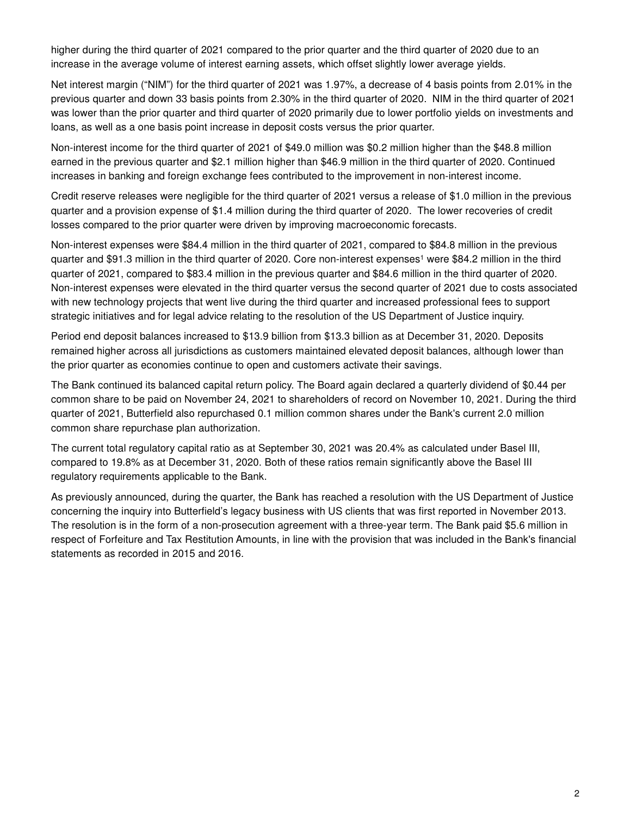higher during the third quarter of 2021 compared to the prior quarter and the third quarter of 2020 due to an increase in the average volume of interest earning assets, which offset slightly lower average yields.

Net interest margin ("NIM") for the third quarter of 2021 was 1.97%, a decrease of 4 basis points from 2.01% in the previous quarter and down 33 basis points from 2.30% in the third quarter of 2020. NIM in the third quarter of 2021 was lower than the prior quarter and third quarter of 2020 primarily due to lower portfolio yields on investments and loans, as well as a one basis point increase in deposit costs versus the prior quarter.

Non-interest income for the third quarter of 2021 of \$49.0 million was \$0.2 million higher than the \$48.8 million earned in the previous quarter and \$2.1 million higher than \$46.9 million in the third quarter of 2020. Continued increases in banking and foreign exchange fees contributed to the improvement in non-interest income.

Credit reserve releases were negligible for the third quarter of 2021 versus a release of \$1.0 million in the previous quarter and a provision expense of \$1.4 million during the third quarter of 2020. The lower recoveries of credit losses compared to the prior quarter were driven by improving macroeconomic forecasts.

Non-interest expenses were \$84.4 million in the third quarter of 2021, compared to \$84.8 million in the previous quarter and \$91.3 million in the third quarter of 2020. Core non-interest expenses<sup>1</sup> were \$84.2 million in the third quarter of 2021, compared to \$83.4 million in the previous quarter and \$84.6 million in the third quarter of 2020. Non-interest expenses were elevated in the third quarter versus the second quarter of 2021 due to costs associated with new technology projects that went live during the third quarter and increased professional fees to support strategic initiatives and for legal advice relating to the resolution of the US Department of Justice inquiry.

Period end deposit balances increased to \$13.9 billion from \$13.3 billion as at December 31, 2020. Deposits remained higher across all jurisdictions as customers maintained elevated deposit balances, although lower than the prior quarter as economies continue to open and customers activate their savings.

The Bank continued its balanced capital return policy. The Board again declared a quarterly dividend of \$0.44 per common share to be paid on November 24, 2021 to shareholders of record on November 10, 2021. During the third quarter of 2021, Butterfield also repurchased 0.1 million common shares under the Bank's current 2.0 million common share repurchase plan authorization.

The current total regulatory capital ratio as at September 30, 2021 was 20.4% as calculated under Basel III, compared to 19.8% as at December 31, 2020. Both of these ratios remain significantly above the Basel III regulatory requirements applicable to the Bank.

As previously announced, during the quarter, the Bank has reached a resolution with the US Department of Justice concerning the inquiry into Butterfield's legacy business with US clients that was first reported in November 2013. The resolution is in the form of a non-prosecution agreement with a three-year term. The Bank paid \$5.6 million in respect of Forfeiture and Tax Restitution Amounts, in line with the provision that was included in the Bank's financial statements as recorded in 2015 and 2016.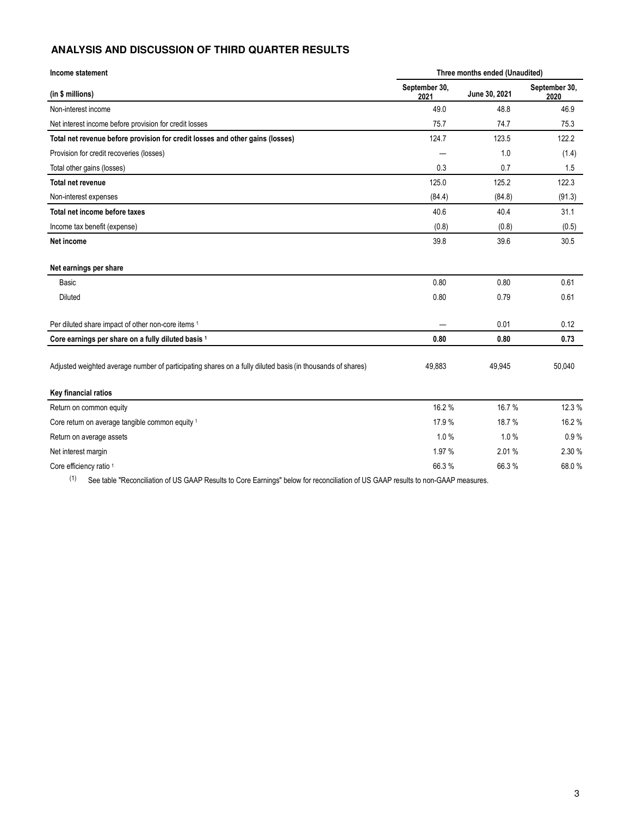## **ANALYSIS AND DISCUSSION OF THIRD QUARTER RESULTS**

| Income statement                                                                                           | Three months ended (Unaudited) |               |                       |
|------------------------------------------------------------------------------------------------------------|--------------------------------|---------------|-----------------------|
| (in \$ millions)                                                                                           | September 30,<br>2021          | June 30, 2021 | September 30,<br>2020 |
| Non-interest income                                                                                        | 49.0                           | 48.8          | 46.9                  |
| Net interest income before provision for credit losses                                                     | 75.7                           | 74.7          | 75.3                  |
| Total net revenue before provision for credit losses and other gains (losses)                              | 124.7                          | 123.5         | 122.2                 |
| Provision for credit recoveries (losses)                                                                   |                                | 1.0           | (1.4)                 |
| Total other gains (losses)                                                                                 | 0.3                            | 0.7           | 1.5                   |
| <b>Total net revenue</b>                                                                                   | 125.0                          | 125.2         | 122.3                 |
| Non-interest expenses                                                                                      | (84.4)                         | (84.8)        | (91.3)                |
| Total net income before taxes                                                                              | 40.6                           | 40.4          | 31.1                  |
| Income tax benefit (expense)                                                                               | (0.8)                          | (0.8)         | (0.5)                 |
| Net income                                                                                                 | 39.8                           | 39.6          | 30.5                  |
| Net earnings per share                                                                                     |                                |               |                       |
| Basic                                                                                                      | 0.80                           | 0.80          | 0.61                  |
| Diluted                                                                                                    | 0.80                           | 0.79          | 0.61                  |
| Per diluted share impact of other non-core items 1                                                         |                                | 0.01          | 0.12                  |
| Core earnings per share on a fully diluted basis 1                                                         | 0.80                           | 0.80          | 0.73                  |
| Adjusted weighted average number of participating shares on a fully diluted basis (in thousands of shares) | 49,883                         | 49,945        | 50,040                |
| Key financial ratios                                                                                       |                                |               |                       |
| Return on common equity                                                                                    | 16.2%                          | 16.7%         | 12.3 %                |
| Core return on average tangible common equity 1                                                            | 17.9%                          | 18.7%         | 16.2%                 |
| Return on average assets                                                                                   | 1.0%                           | 1.0%          | 0.9%                  |
| Net interest margin                                                                                        | 1.97 %                         | 2.01%         | 2.30 %                |
| Core efficiency ratio 1                                                                                    | 66.3%                          | 66.3%         | 68.0%                 |

(1) See table "Reconciliation of US GAAP Results to Core Earnings" below for reconciliation of US GAAP results to non-GAAP measures.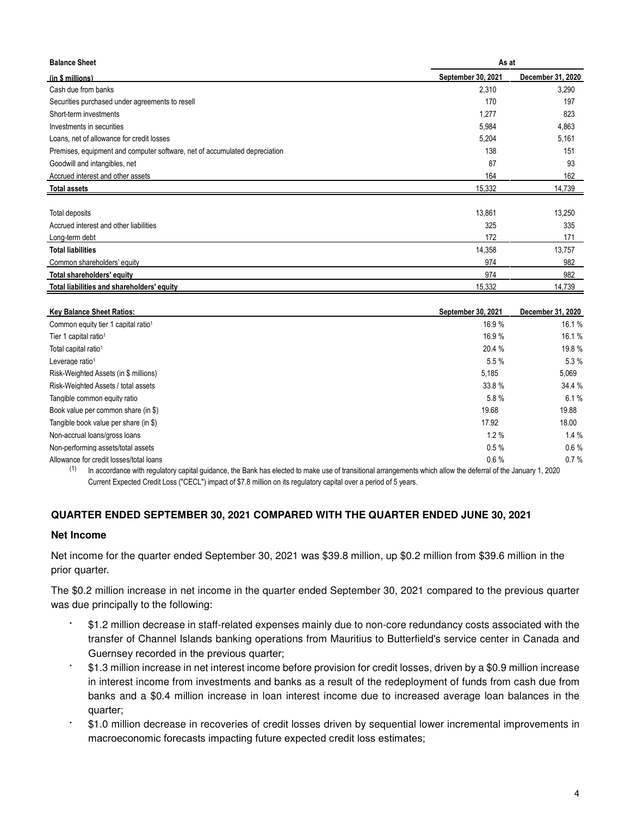| <b>Balance Sheet</b>                                                       | As at              |                   |  |
|----------------------------------------------------------------------------|--------------------|-------------------|--|
| (in \$ millions)                                                           | September 30, 2021 | December 31, 2020 |  |
| Cash due from banks                                                        | 2,310              | 3,290             |  |
| Securities purchased under agreements to resell                            | 170                | 197               |  |
| Short-term investments                                                     | 1,277              | 823               |  |
| Investments in securities                                                  | 5,984              | 4,863             |  |
| Loans, net of allowance for credit losses                                  | 5,204              | 5,161             |  |
| Premises, equipment and computer software, net of accumulated depreciation | 138                | 151               |  |
| Goodwill and intangibles, net                                              | 87                 | 93                |  |
| Accrued interest and other assets                                          | 164                | 162               |  |
| <b>Total assets</b>                                                        | 15,332             | 14,739            |  |
|                                                                            |                    |                   |  |
| Total deposits                                                             | 13,861             | 13,250            |  |
| Accrued interest and other liabilities                                     | 325                | 335               |  |
| Long-term debt                                                             | 172                | 171               |  |
| <b>Total liabilities</b>                                                   | 14,358             | 13,757            |  |
| Common shareholders' equity                                                | 974                | 982               |  |
| Total shareholders' equity                                                 | 974                | 982               |  |
| Total liabilities and shareholders' equity                                 | 15,332             | 14,739            |  |

| <b>Key Balance Sheet Ratios:</b>                | September 30, 2021 | December 31, 2020 |
|-------------------------------------------------|--------------------|-------------------|
| Common equity tier 1 capital ratio <sup>1</sup> | 16.9%              | 16.1 %            |
| Tier 1 capital ratio <sup>1</sup>               | 16.9%              | 16.1 %            |
| Total capital ratio <sup>1</sup>                | 20.4 %             | 19.8 %            |
| Leverage ratio <sup>1</sup>                     | 5.5%               | 5.3%              |
| Risk-Weighted Assets (in \$ millions)           | 5,185              | 5,069             |
| Risk-Weighted Assets / total assets             | 33.8%              | 34.4 %            |
| Tangible common equity ratio                    | 5.8%               | 6.1%              |
| Book value per common share (in \$)             | 19.68              | 19.88             |
| Tangible book value per share (in \$)           | 17.92              | 18.00             |
| Non-accrual loans/gross loans                   | 1.2%               | 1.4%              |
| Non-performing assets/total assets              | 0.5%               | $0.6\%$           |
| Allowance for credit losses/total loans         | 0.6%               | 0.7%              |

(1) In accordance with regulatory capital guidance, the Bank has elected to make use of transitional arrangements which allow the deferral of the January 1, 2020 Current Expected Credit Loss ("CECL") impact of \$7.8 million on its regulatory capital over a period of 5 years.

# **QUARTER ENDED SEPTEMBER 30, 2021 COMPARED WITH THE QUARTER ENDED JUNE 30, 2021**

#### **Net Income**

Net income for the quarter ended September 30, 2021 was \$39.8 million, up \$0.2 million from \$39.6 million in the prior quarter.

The \$0.2 million increase in net income in the quarter ended September 30, 2021 compared to the previous quarter was due principally to the following:

- \$1.2 million decrease in staff-related expenses mainly due to non-core redundancy costs associated with the transfer of Channel Islands banking operations from Mauritius to Butterfield's service center in Canada and Guernsey recorded in the previous quarter;
- \$1.3 million increase in net interest income before provision for credit losses, driven by a \$0.9 million increase in interest income from investments and banks as a result of the redeployment of funds from cash due from banks and a \$0.4 million increase in loan interest income due to increased average loan balances in the quarter;
- \$1.0 million decrease in recoveries of credit losses driven by sequential lower incremental improvements in macroeconomic forecasts impacting future expected credit loss estimates;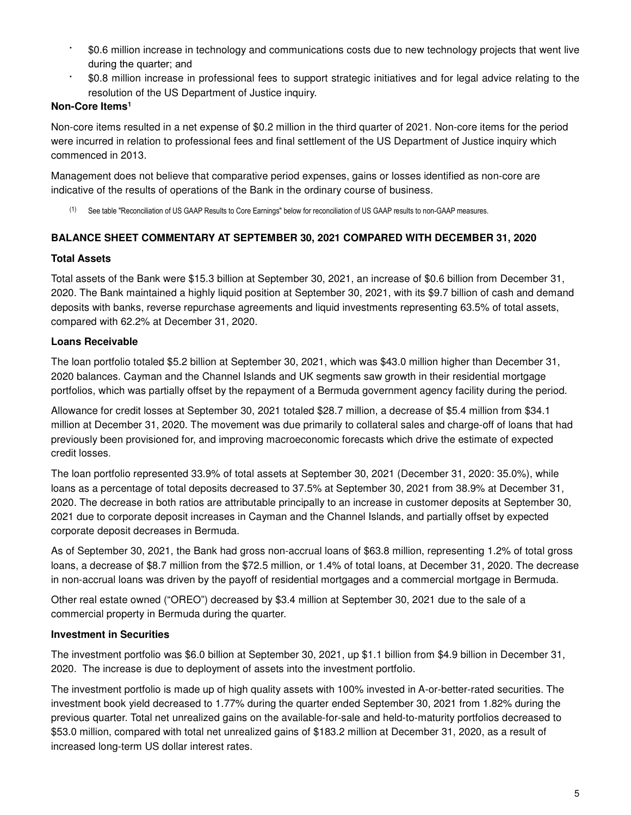- \$0.6 million increase in technology and communications costs due to new technology projects that went live during the quarter; and
- \$0.8 million increase in professional fees to support strategic initiatives and for legal advice relating to the resolution of the US Department of Justice inquiry.

## **Non-Core Items<sup>1</sup>**

Non-core items resulted in a net expense of \$0.2 million in the third quarter of 2021. Non-core items for the period were incurred in relation to professional fees and final settlement of the US Department of Justice inquiry which commenced in 2013.

Management does not believe that comparative period expenses, gains or losses identified as non-core are indicative of the results of operations of the Bank in the ordinary course of business.

(1) See table "Reconciliation of US GAAP Results to Core Earnings" below for reconciliation of US GAAP results to non-GAAP measures.

# **BALANCE SHEET COMMENTARY AT SEPTEMBER 30, 2021 COMPARED WITH DECEMBER 31, 2020**

#### **Total Assets**

Total assets of the Bank were \$15.3 billion at September 30, 2021, an increase of \$0.6 billion from December 31, 2020. The Bank maintained a highly liquid position at September 30, 2021, with its \$9.7 billion of cash and demand deposits with banks, reverse repurchase agreements and liquid investments representing 63.5% of total assets, compared with 62.2% at December 31, 2020.

## **Loans Receivable**

The loan portfolio totaled \$5.2 billion at September 30, 2021, which was \$43.0 million higher than December 31, 2020 balances. Cayman and the Channel Islands and UK segments saw growth in their residential mortgage portfolios, which was partially offset by the repayment of a Bermuda government agency facility during the period.

Allowance for credit losses at September 30, 2021 totaled \$28.7 million, a decrease of \$5.4 million from \$34.1 million at December 31, 2020. The movement was due primarily to collateral sales and charge-off of loans that had previously been provisioned for, and improving macroeconomic forecasts which drive the estimate of expected credit losses.

The loan portfolio represented 33.9% of total assets at September 30, 2021 (December 31, 2020: 35.0%), while loans as a percentage of total deposits decreased to 37.5% at September 30, 2021 from 38.9% at December 31, 2020. The decrease in both ratios are attributable principally to an increase in customer deposits at September 30, 2021 due to corporate deposit increases in Cayman and the Channel Islands, and partially offset by expected corporate deposit decreases in Bermuda.

As of September 30, 2021, the Bank had gross non-accrual loans of \$63.8 million, representing 1.2% of total gross loans, a decrease of \$8.7 million from the \$72.5 million, or 1.4% of total loans, at December 31, 2020. The decrease in non-accrual loans was driven by the payoff of residential mortgages and a commercial mortgage in Bermuda.

Other real estate owned ("OREO") decreased by \$3.4 million at September 30, 2021 due to the sale of a commercial property in Bermuda during the quarter.

# **Investment in Securities**

The investment portfolio was \$6.0 billion at September 30, 2021, up \$1.1 billion from \$4.9 billion in December 31, 2020. The increase is due to deployment of assets into the investment portfolio.

The investment portfolio is made up of high quality assets with 100% invested in A-or-better-rated securities. The investment book yield decreased to 1.77% during the quarter ended September 30, 2021 from 1.82% during the previous quarter. Total net unrealized gains on the available-for-sale and held-to-maturity portfolios decreased to \$53.0 million, compared with total net unrealized gains of \$183.2 million at December 31, 2020, as a result of increased long-term US dollar interest rates.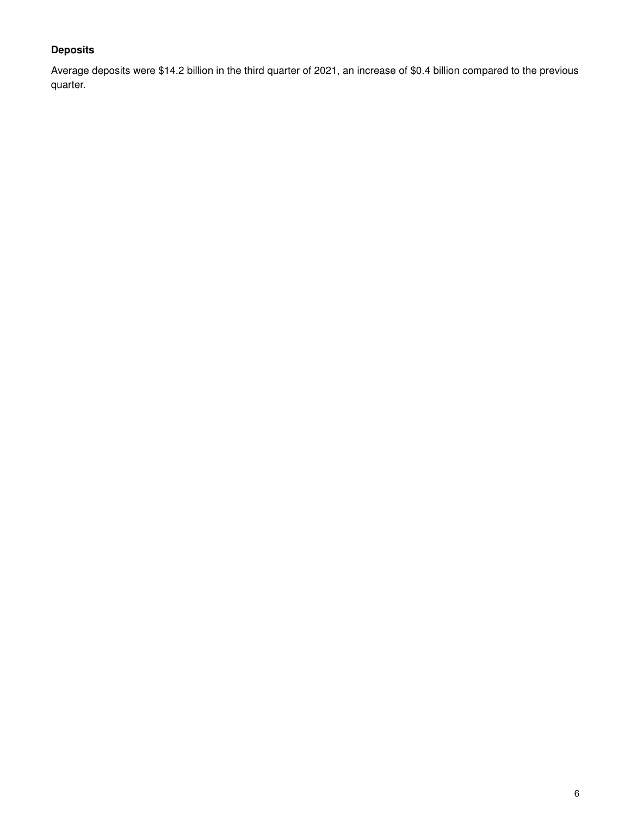# **Deposits**

Average deposits were \$14.2 billion in the third quarter of 2021, an increase of \$0.4 billion compared to the previous quarter.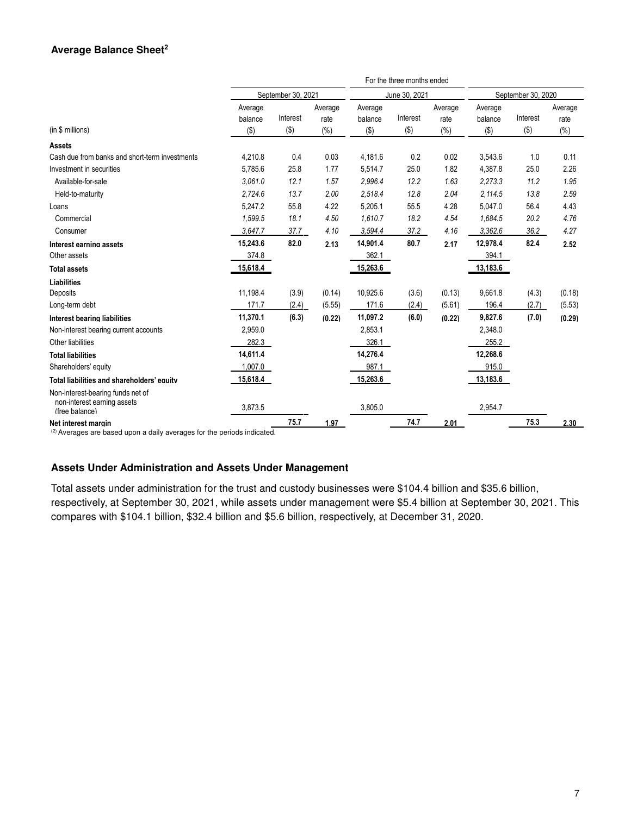#### **Average Balance Sheet<sup>2</sup>**

|                                                                                    |                               |                     |                        |                               | For the three months ended |                            |                               |                    |                            |
|------------------------------------------------------------------------------------|-------------------------------|---------------------|------------------------|-------------------------------|----------------------------|----------------------------|-------------------------------|--------------------|----------------------------|
|                                                                                    |                               | September 30, 2021  |                        | June 30, 2021                 |                            | September 30, 2020         |                               |                    |                            |
| (in \$ millions)                                                                   | Average<br>balance<br>$($ \$) | Interest<br>$($ \$) | Average<br>rate<br>(%) | Average<br>balance<br>$($ \$) | Interest<br>$($ \$)        | Average<br>rate<br>$(\% )$ | Average<br>balance<br>$($ \$) | Interest<br>$(\$)$ | Average<br>rate<br>$(\% )$ |
| <b>Assets</b>                                                                      |                               |                     |                        |                               |                            |                            |                               |                    |                            |
| Cash due from banks and short-term investments                                     | 4,210.8                       | 0.4                 | 0.03                   | 4,181.6                       | 0.2                        | 0.02                       | 3,543.6                       | 1.0                | 0.11                       |
| Investment in securities                                                           | 5,785.6                       | 25.8                | 1.77                   | 5,514.7                       | 25.0                       | 1.82                       | 4.387.8                       | 25.0               | 2.26                       |
| Available-for-sale                                                                 | 3.061.0                       | 12.1                | 1.57                   | 2.996.4                       | 12.2                       | 1.63                       | 2,273.3                       | 11.2               | 1.95                       |
| Held-to-maturity                                                                   | 2,724.6                       | 13.7                | 2.00                   | 2,518.4                       | 12.8                       | 2.04                       | 2,114.5                       | 13.8               | 2.59                       |
| Loans                                                                              | 5,247.2                       | 55.8                | 4.22                   | 5,205.1                       | 55.5                       | 4.28                       | 5,047.0                       | 56.4               | 4.43                       |
| Commercial                                                                         | 1,599.5                       | 18.1                | 4.50                   | 1,610.7                       | 18.2                       | 4.54                       | 1,684.5                       | 20.2               | 4.76                       |
| Consumer                                                                           | 3.647.7                       | 37.7                | 4.10                   | 3.594.4                       | 37.2                       | 4.16                       | 3.362.6                       | 36.2               | 4.27                       |
| Interest earning assets                                                            | 15,243.6                      | 82.0                | 2.13                   | 14,901.4                      | 80.7                       | 2.17                       | 12,978.4                      | 82.4               | 2.52                       |
| Other assets                                                                       | 374.8                         |                     |                        | 362.1                         |                            |                            | 394.1                         |                    |                            |
| <b>Total assets</b>                                                                | 15,618.4                      |                     |                        | 15,263.6                      |                            |                            | 13,183.6                      |                    |                            |
| <b>Liabilities</b>                                                                 |                               |                     |                        |                               |                            |                            |                               |                    |                            |
| Deposits                                                                           | 11,198.4                      | (3.9)               | (0.14)                 | 10,925.6                      | (3.6)                      | (0.13)                     | 9,661.8                       | (4.3)              | (0.18)                     |
| Long-term debt                                                                     | 171.7                         | (2.4)               | (5.55)                 | 171.6                         | (2.4)                      | (5.61)                     | 196.4                         | (2.7)              | (5.53)                     |
| Interest bearing liabilities                                                       | 11,370.1                      | (6.3)               | (0.22)                 | 11,097.2                      | (6.0)                      | (0.22)                     | 9,827.6                       | (7.0)              | (0.29)                     |
| Non-interest bearing current accounts                                              | 2,959.0                       |                     |                        | 2,853.1                       |                            |                            | 2,348.0                       |                    |                            |
| Other liabilities                                                                  | 282.3                         |                     |                        | 326.1                         |                            |                            | 255.2                         |                    |                            |
| <b>Total liabilities</b>                                                           | 14,611.4                      |                     |                        | 14,276.4                      |                            |                            | 12,268.6                      |                    |                            |
| Shareholders' equity                                                               | 1,007.0                       |                     |                        | 987.1                         |                            |                            | 915.0                         |                    |                            |
| Total liabilities and shareholders' equity                                         | 15,618.4                      |                     |                        | 15,263.6                      |                            |                            | 13,183.6                      |                    |                            |
| Non-interest-bearing funds net of<br>non-interest earning assets<br>(free balance) | 3,873.5                       |                     |                        | 3,805.0                       |                            |                            | 2,954.7                       |                    |                            |
| Net interest margin                                                                |                               | 75.7                | 1.97                   |                               | 74.7                       | 2.01                       |                               | 75.3               | 2.30                       |

 $(2)$  Averages are based upon a daily averages for the periods indicated.

#### **Assets Under Administration and Assets Under Management**

Total assets under administration for the trust and custody businesses were \$104.4 billion and \$35.6 billion, respectively, at September 30, 2021, while assets under management were \$5.4 billion at September 30, 2021. This compares with \$104.1 billion, \$32.4 billion and \$5.6 billion, respectively, at December 31, 2020.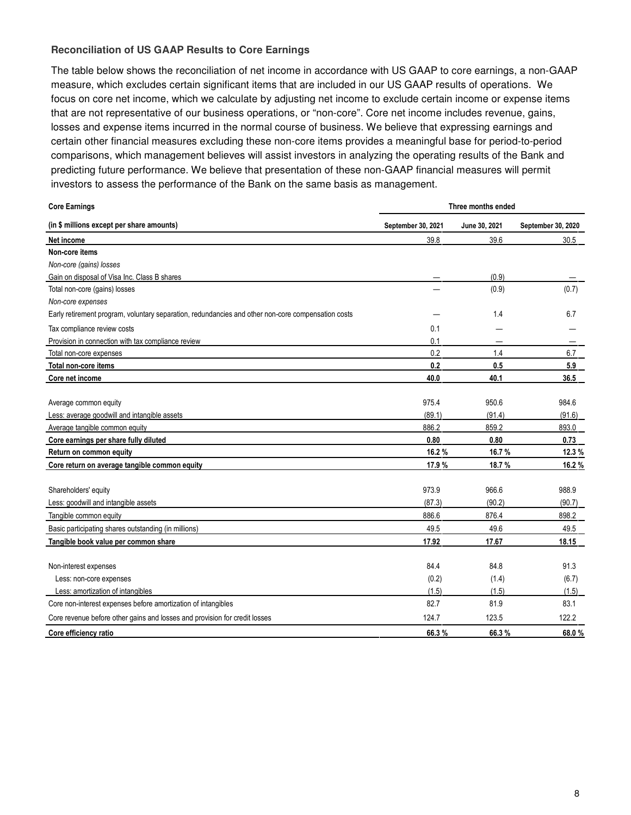#### **Reconciliation of US GAAP Results to Core Earnings**

The table below shows the reconciliation of net income in accordance with US GAAP to core earnings, a non-GAAP measure, which excludes certain significant items that are included in our US GAAP results of operations. We focus on core net income, which we calculate by adjusting net income to exclude certain income or expense items that are not representative of our business operations, or "non-core". Core net income includes revenue, gains, losses and expense items incurred in the normal course of business. We believe that expressing earnings and certain other financial measures excluding these non-core items provides a meaningful base for period-to-period comparisons, which management believes will assist investors in analyzing the operating results of the Bank and predicting future performance. We believe that presentation of these non-GAAP financial measures will permit investors to assess the performance of the Bank on the same basis as management.

| <b>Core Earnings</b>                                                                               | Three months ended |               |                    |  |
|----------------------------------------------------------------------------------------------------|--------------------|---------------|--------------------|--|
| (in \$ millions except per share amounts)                                                          | September 30, 2021 | June 30, 2021 | September 30, 2020 |  |
| Net income                                                                                         | 39.8               | 39.6          | 30.5               |  |
| Non-core items                                                                                     |                    |               |                    |  |
| Non-core (gains) losses                                                                            |                    |               |                    |  |
| Gain on disposal of Visa Inc. Class B shares                                                       |                    | (0.9)         |                    |  |
| Total non-core (gains) losses                                                                      |                    | (0.9)         | (0.7)              |  |
| Non-core expenses                                                                                  |                    |               |                    |  |
| Early retirement program, voluntary separation, redundancies and other non-core compensation costs |                    | 1.4           | 6.7                |  |
| Tax compliance review costs                                                                        | 0.1                |               |                    |  |
| Provision in connection with tax compliance review                                                 | 0.1                |               |                    |  |
| Total non-core expenses                                                                            | 0.2                | 1.4           | 6.7                |  |
| Total non-core items                                                                               | 0.2                | 0.5           | 5.9                |  |
| Core net income                                                                                    | 40.0               | 40.1          | 36.5               |  |
|                                                                                                    |                    |               |                    |  |
| Average common equity                                                                              | 975.4              | 950.6         | 984.6              |  |
| Less: average goodwill and intangible assets                                                       | (89.1)             | (91.4)        | (91.6)             |  |
| Average tangible common equity                                                                     | 886.2              | 859.2         | 893.0              |  |
| Core earnings per share fully diluted                                                              | 0.80               | 0.80          | 0.73               |  |
| Return on common equity                                                                            | 16.2%              | 16.7%         | 12.3 %             |  |
| Core return on average tangible common equity                                                      | 17.9 %             | 18.7%         | 16.2%              |  |
|                                                                                                    |                    |               |                    |  |
| Shareholders' equity                                                                               | 973.9              | 966.6         | 988.9              |  |
| Less: goodwill and intangible assets                                                               | (87.3)             | (90.2)        | (90.7)             |  |
| Tangible common equity                                                                             | 886.6              | 876.4         | 898.2              |  |
| Basic participating shares outstanding (in millions)                                               | 49.5               | 49.6          | 49.5               |  |
| Tangible book value per common share                                                               | 17.92              | 17.67         | 18.15              |  |
|                                                                                                    |                    |               |                    |  |
| Non-interest expenses                                                                              | 84.4               | 84.8          | 91.3               |  |
| Less: non-core expenses                                                                            | (0.2)              | (1.4)         | (6.7)              |  |
| Less: amortization of intangibles                                                                  | (1.5)              | (1.5)         | (1.5)              |  |
| Core non-interest expenses before amortization of intangibles                                      | 82.7               | 81.9          | 83.1               |  |
| Core revenue before other gains and losses and provision for credit losses                         | 124.7              | 123.5         | 122.2              |  |
| Core efficiency ratio                                                                              | 66.3%              | 66.3%         | 68.0%              |  |